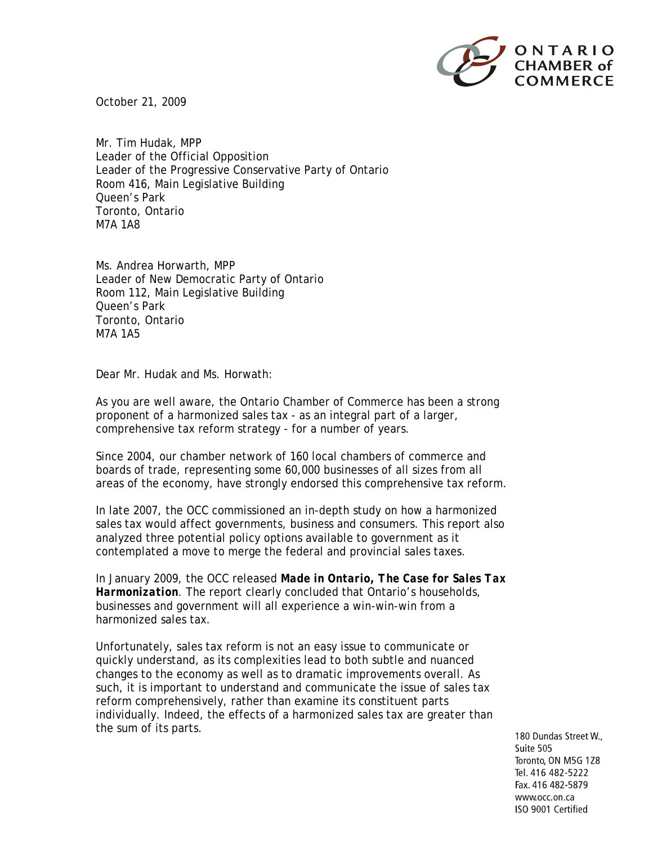

October 21, 2009

Mr. Tim Hudak, MPP Leader of the Official Opposition Leader of the Progressive Conservative Party of Ontario Room 416, Main Legislative Building Queen's Park Toronto, Ontario M7A 1A8

Ms. Andrea Horwarth, MPP Leader of New Democratic Party of Ontario Room 112, Main Legislative Building Queen's Park Toronto, Ontario M7A 1A5

Dear Mr. Hudak and Ms. Horwath:

As you are well aware, the Ontario Chamber of Commerce has been a strong proponent of a harmonized sales tax - as an integral part of a larger, comprehensive tax reform strategy - for a number of years.

Since 2004, our chamber network of 160 local chambers of commerce and boards of trade, representing some 60,000 businesses of all sizes from all areas of the economy, have strongly endorsed this comprehensive tax reform.

In late 2007, the OCC commissioned an in-depth study on how a harmonized sales tax would affect governments, business and consumers. This report also analyzed three potential policy options available to government as it contemplated a move to merge the federal and provincial sales taxes.

In January 2009, the OCC released *Made in Ontario, The Case for Sales Tax Harmonization*. The report clearly concluded that Ontario's households, businesses and government will all experience a win-win-win from a harmonized sales tax.

Unfortunately, sales tax reform is not an easy issue to communicate or quickly understand, as its complexities lead to both subtle and nuanced changes to the economy as well as to dramatic improvements overall. As such, it is important to understand and communicate the issue of sales tax reform comprehensively, rather than examine its constituent parts individually. Indeed, the effects of a harmonized sales tax are greater than the sum of its parts.

180 Dundas Street W., Suite 505 Toronto, ON M5G 1Z8 Tel. 416 482-5222 Fax. 416 482-5879 www.occ.on.ca ISO 9001 Certified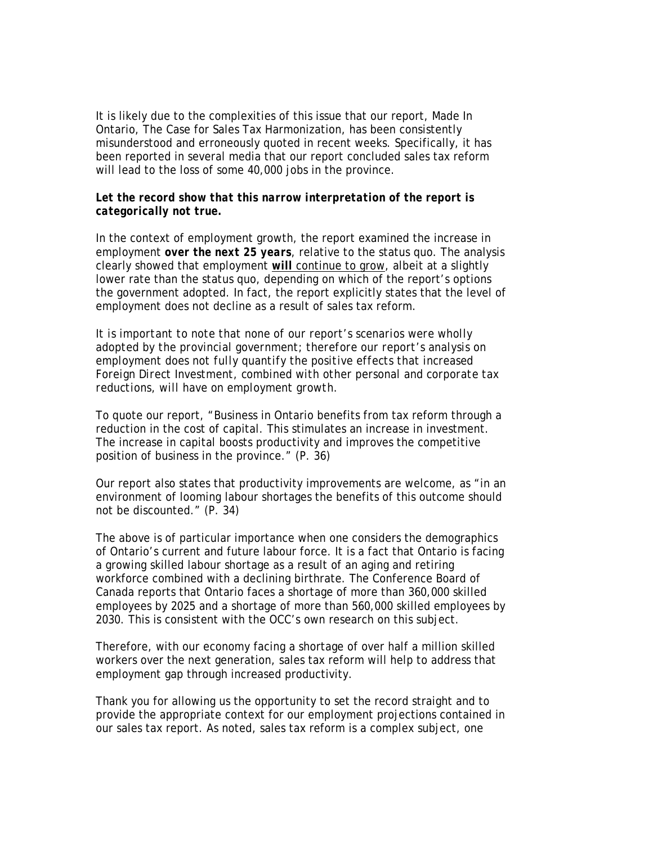It is likely due to the complexities of this issue that our report, Made In Ontario, The Case for Sales Tax Harmonization, has been consistently misunderstood and erroneously quoted in recent weeks. Specifically, it has been reported in several media that our report concluded sales tax reform will lead to the loss of some 40,000 jobs in the province.

## *Let the record show that this narrow interpretation of the report is categorically not true.*

In the context of employment growth, the report examined the increase in employment *over the next 25 years*, relative to the status quo. The analysis clearly showed that employment *will* continue to grow, albeit at a slightly lower rate than the status quo, depending on which of the report's options the government adopted. In fact, the report explicitly states that the level of employment does not decline as a result of sales tax reform.

*It is important to note that none of our report's scenarios were wholly adopted by the provincial government; therefore our report's analysis on employment does not fully quantify the positive effects that increased Foreign Direct Investment, combined with other personal and corporate tax reductions, will have on employment growth.* 

To quote our report, "Business in Ontario benefits from tax reform through a reduction in the cost of capital. This stimulates an increase in investment. The increase in capital boosts productivity and improves the competitive position of business in the province." *(P. 36)*

Our report also states that productivity improvements are welcome, as "in an environment of looming labour shortages the benefits of this outcome should not be discounted." *(P. 34)*

The above is of particular importance when one considers the demographics of Ontario's current and future labour force. It is a fact that Ontario is facing a growing skilled labour shortage as a result of an aging and retiring workforce combined with a declining birthrate. The Conference Board of Canada reports that Ontario faces a shortage of more than 360,000 skilled employees by 2025 and a shortage of more than 560,000 skilled employees by 2030. This is consistent with the OCC's own research on this subject.

Therefore, with our economy facing a shortage of over half a million skilled workers over the next generation, sales tax reform will help to address that employment gap through increased productivity.

Thank you for allowing us the opportunity to set the record straight and to provide the appropriate context for our employment projections contained in our sales tax report. As noted, sales tax reform is a complex subject, one